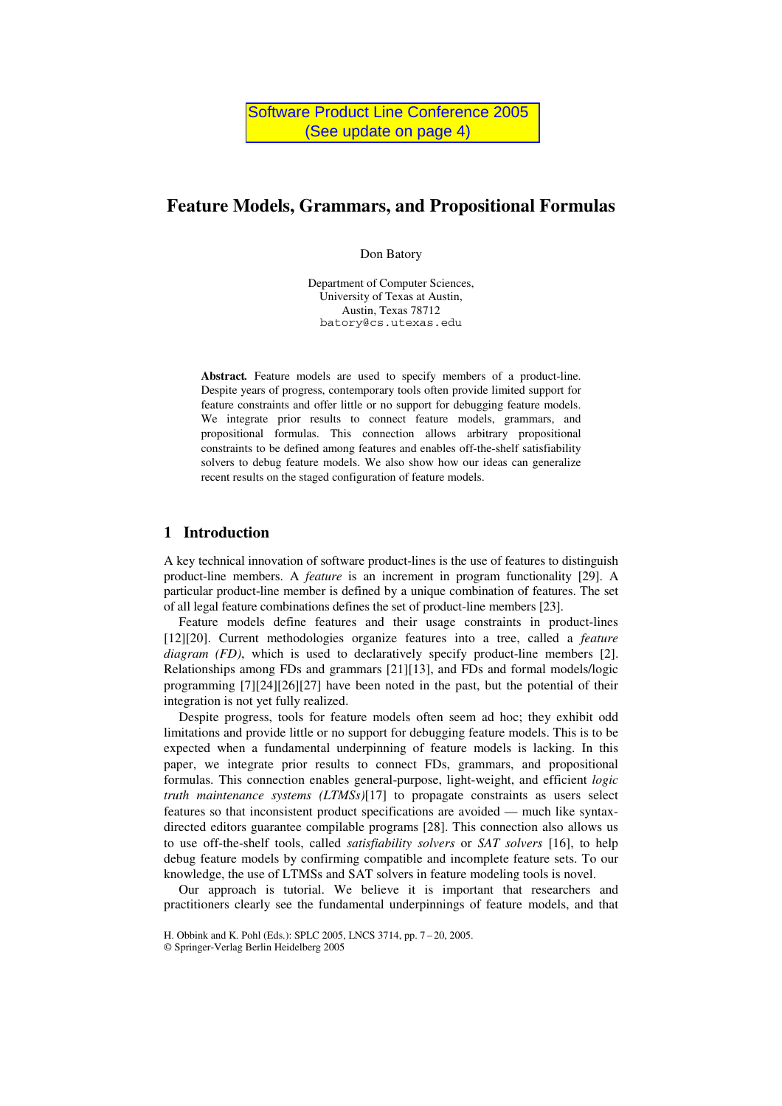Software Product Line Conference 2005 (See update on page 4)

# **Feature Models, Grammars, and Propositional Formulas**

Don Batory

Department of Computer Sciences, University of Texas at Austin, Austin, Texas 78712 batory@cs.utexas.edu

**Abstract***.* Feature models are used to specify members of a product-line. Despite years of progress, contemporary tools often provide limited support for feature constraints and offer little or no support for debugging feature models. We integrate prior results to connect feature models, grammars, and propositional formulas. This connection allows arbitrary propositional constraints to be defined among features and enables off-the-shelf satisfiability solvers to debug feature models. We also show how our ideas can generalize recent results on the staged configuration of feature models.

# **1 Introduction**

A key technical innovation of software product-lines is the use of features to distinguish product-line members. A *feature* is an increment in program functionality [29]. A particular product-line member is defined by a unique combination of features. The set of all legal feature combinations defines the set of product-line members [23].

Feature models define features and their usage constraints in product-lines [12][20]. Current methodologies organize features into a tree, called a *feature diagram (FD)*, which is used to declaratively specify product-line members [2]. Relationships among FDs and grammars [21][13], and FDs and formal models/logic programming [7][24][26][27] have been noted in the past, but the potential of their integration is not yet fully realized.

Despite progress, tools for feature models often seem ad hoc; they exhibit odd limitations and provide little or no support for debugging feature models. This is to be expected when a fundamental underpinning of feature models is lacking. In this paper, we integrate prior results to connect FDs, grammars, and propositional formulas. This connection enables general-purpose, light-weight, and efficient *logic truth maintenance systems (LTMSs)*[17] to propagate constraints as users select features so that inconsistent product specifications are avoided — much like syntaxdirected editors guarantee compilable programs [28]. This connection also allows us to use off-the-shelf tools, called *satisfiability solvers* or *SAT solvers* [16], to help debug feature models by confirming compatible and incomplete feature sets. To our knowledge, the use of LTMSs and SAT solvers in feature modeling tools is novel.

Our approach is tutorial. We believe it is important that researchers and practitioners clearly see the fundamental underpinnings of feature models, and that

H. Obbink and K. Pohl (Eds.): SPLC 2005, LNCS 3714, pp. 7 – 20, 2005.

<sup>©</sup> Springer-Verlag Berlin Heidelberg 2005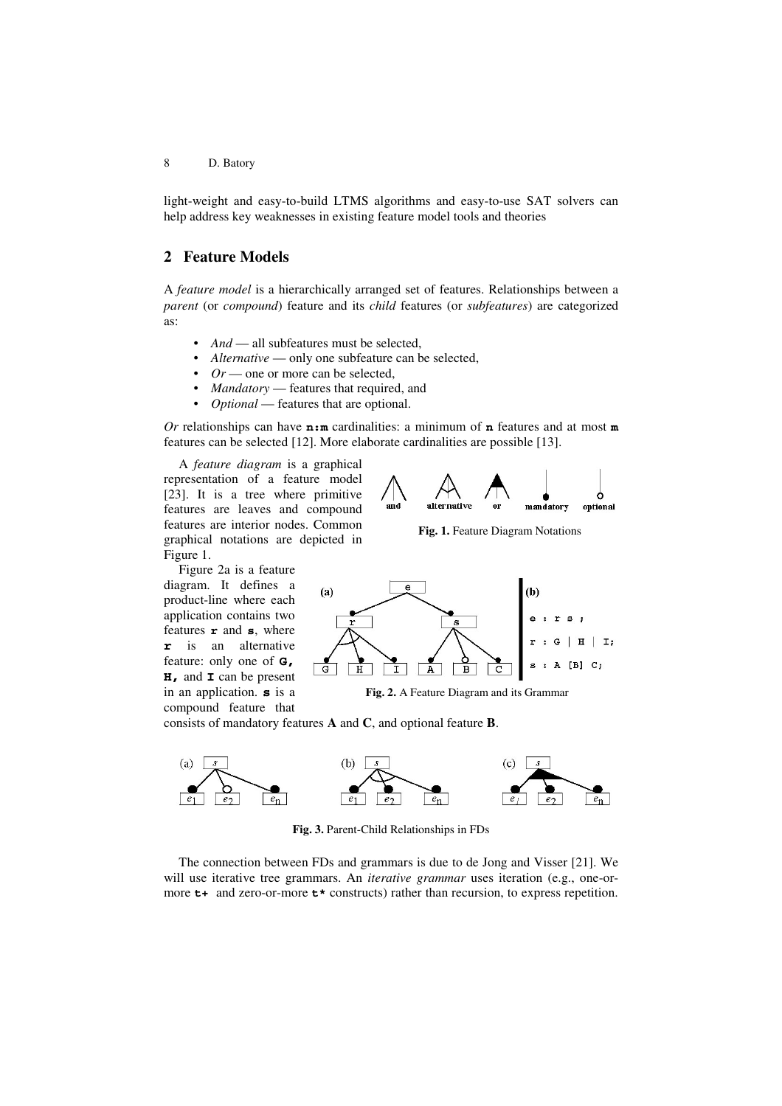light-weight and easy-to-build LTMS algorithms and easy-to-use SAT solvers can help address key weaknesses in existing feature model tools and theories

# **2 Feature Models**

A *feature model* is a hierarchically arranged set of features. Relationships between a *parent* (or *compound*) feature and its *child* features (or *subfeatures*) are categorized as:

- *And* all subfeatures must be selected,
- *Alternative* only one subfeature can be selected,
- $Or$  one or more can be selected,
- *Mandatory* features that required, and
- *Optional* features that are optional.

*Or* relationships can have **n:m** cardinalities: a minimum of **n** features and at most **m**  features can be selected [12]. More elaborate cardinalities are possible [13].

A *feature diagram* is a graphical representation of a feature model [23]. It is a tree where primitive features are leaves and compound features are interior nodes. Common graphical notations are depicted in Figure 1.





**Fig. 1.** Feature Diagram Notations



**Fig. 2.** A Feature Diagram and its Grammar

consists of mandatory features **A** and **C**, and optional feature **B**.



**Fig. 3.** Parent-Child Relationships in FDs

The connection between FDs and grammars is due to de Jong and Visser [21]. We will use iterative tree grammars. An *iterative grammar* uses iteration (e.g., one-ormore **t+** and zero-or-more **t\*** constructs) rather than recursion, to express repetition.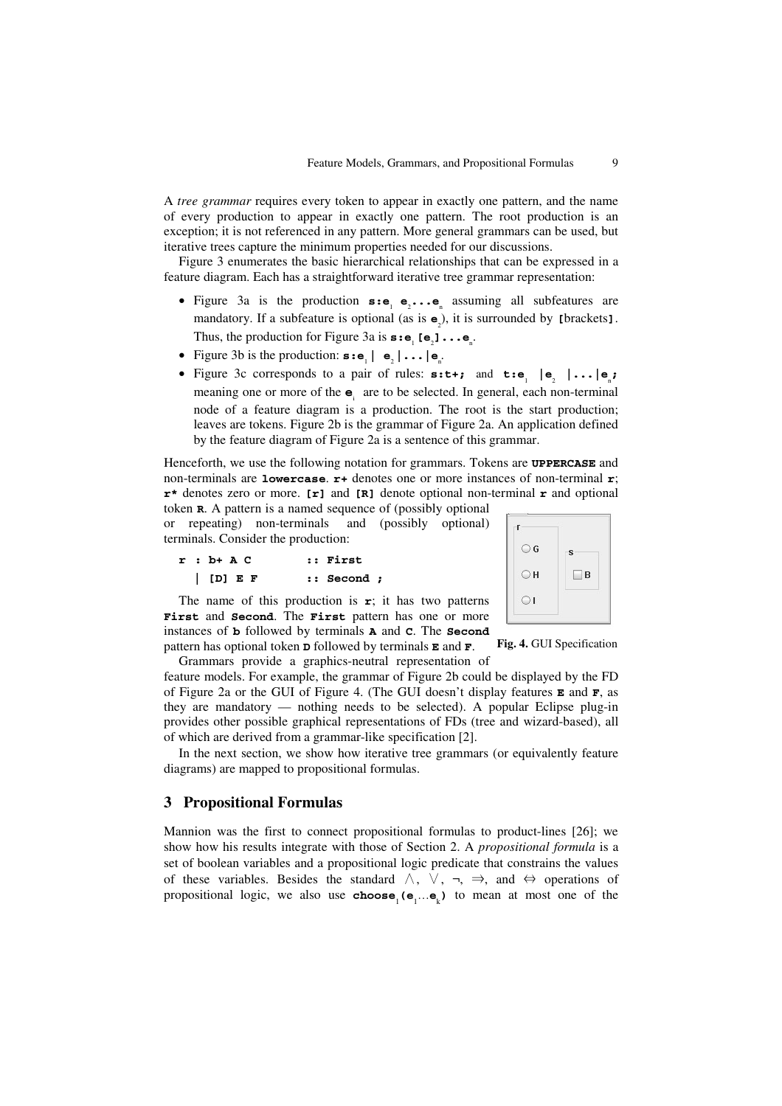A *tree grammar* requires every token to appear in exactly one pattern, and the name of every production to appear in exactly one pattern. The root production is an exception; it is not referenced in any pattern. More general grammars can be used, but iterative trees capture the minimum properties needed for our discussions.

Figure 3 enumerates the basic hierarchical relationships that can be expressed in a feature diagram. Each has a straightforward iterative tree grammar representation:

- Figure 3a is the production  $s: e_1, e_2, \ldots, e_n$  assuming all subfeatures are mandatory. If a subfeature is optional (as is  $\mathbf{e}_2$ ), it is surrounded by **[**brackets**]**. Thus, the production for Figure 3a is  $\mathbf{s} : \mathbf{e} \cdot \mathbf{e} \cdot \mathbf{e}$ .
- Figure 3b is the production:  $\mathbf{s} : \mathbf{e} \cdot | \mathbf{e} \cdot | \mathbf{e} \cdot | \mathbf{e}$ .
- Figure 3c corresponds to a pair of rules:  $s:t+$ ; and  $t:e_1 \mid e_2 \mid \ldots \mid e_n$ ; meaning one or more of the **e**<sub>i</sub> are to be selected. In general, each non-terminal node of a feature diagram is a production. The root is the start production; leaves are tokens. Figure 2b is the grammar of Figure 2a. An application defined by the feature diagram of Figure 2a is a sentence of this grammar.

Henceforth, we use the following notation for grammars. Tokens are **UPPERCASE** and non-terminals are **lowercase**. **r+** denotes one or more instances of non-terminal **r**; **r\*** denotes zero or more. **[r]** and **[R]** denote optional non-terminal **r** and optional

token **R**. A pattern is a named sequence of (possibly optional or repeating) non-terminals and (possibly optional) terminals. Consider the production:

|  | $r : b+A C$ | :: First       |  |
|--|-------------|----------------|--|
|  | $ $ [D] E F | $:$ Second $:$ |  |

The name of this production is  $\mathbf{r}$ ; it has two patterns **First** and **Second**. The **First** pattern has one or more instances of **b** followed by terminals **A** and **C**. The **Second**

pattern has optional token **D** followed by terminals **E** and **F**. Grammars provide a graphics-neutral representation of

feature models. For example, the grammar of Figure 2b could be displayed by the FD of Figure 2a or the GUI of Figure 4. (The GUI doesn't display features **E** and **F**, as they are mandatory — nothing needs to be selected). A popular Eclipse plug-in provides other possible graphical representations of FDs (tree and wizard-based), all of which are derived from a grammar-like specification [2].

In the next section, we show how iterative tree grammars (or equivalently feature diagrams) are mapped to propositional formulas.

## **3 Propositional Formulas**

Mannion was the first to connect propositional formulas to product-lines [26]; we show how his results integrate with those of Section 2. A *propositional formula* is a set of boolean variables and a propositional logic predicate that constrains the values of these variables. Besides the standard  $\wedge$ ,  $\vee$ ,  $\neg$ ,  $\Rightarrow$ , and  $\Leftrightarrow$  operations of propositional logic, we also use **choose**<sub>1</sub>(**e**<sub>1</sub>...**e**<sub>k</sub>) to mean at most one of the

**Fig. 4.** GUI Specification

 $\Box$ B

 $\bigcirc$  G  $\bigcirc$  H

 $\circ$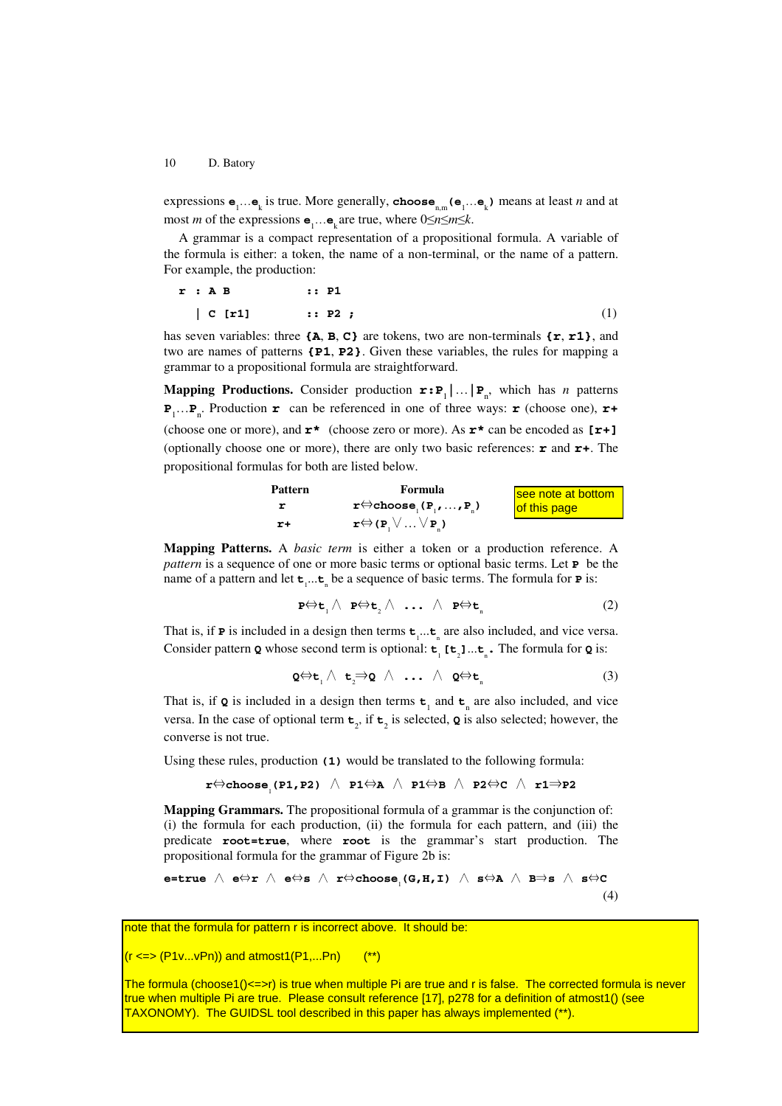expressions  $\mathbf{e}_1 \dots \mathbf{e}_k$  is true. More generally,  $\mathbf{choose}_{n,m}(\mathbf{e}_1 \dots \mathbf{e}_k)$  means at least *n* and at most *m* of the expressions  $\mathbf{e}_{1} \dots \mathbf{e}_{k}$  are true, where  $0 \le n \le m \le k$ .

A grammar is a compact representation of a propositional formula. A variable of the formula is either: a token, the name of a non-terminal, or the name of a pattern. For example, the production:

$$
\begin{array}{cccc}\n \mathbf{r} & \mathbf{:} \ \mathbf{A} \ \mathbf{B} & \mathbf{I} \ \mathbf{C} \ \mathbf{[r1]} & \mathbf{I} \ \mathbf{C} \ \mathbf{[r2]} & \mathbf{I} \ \mathbf{C} \ \mathbf{[r3]} & \mathbf{I} \ \mathbf{C} \ \mathbf{[r4]} & \mathbf{I} \ \mathbf{C} \ \mathbf{[r4]} & \mathbf{I} \ \mathbf{C} \ \mathbf{[r4]} & \mathbf{I} \ \mathbf{C} \ \mathbf{[r4]} & \mathbf{I} \ \mathbf{C} \ \mathbf{[r4]} & \mathbf{I} \ \mathbf{C} \ \mathbf{[r4]} & \mathbf{I} \ \mathbf{C} \ \mathbf{[r4]} & \mathbf{I} \ \mathbf{C} \ \mathbf{[r4]} & \mathbf{I} \ \mathbf{C} \ \mathbf{[r4]} & \mathbf{I} \ \mathbf{C} \ \mathbf{[r4]} & \mathbf{I} \ \mathbf{C} \ \mathbf{[r4]} & \mathbf{I} \ \mathbf{C} \ \mathbf{[r4]} & \mathbf{I} \ \mathbf{C} \ \mathbf{[r4]} & \mathbf{I} \ \mathbf{C} \ \mathbf{[r4]} & \mathbf{I} \ \mathbf{C} \ \mathbf{[r4]} & \mathbf{I} \ \mathbf{C} \ \mathbf{[r4]} & \mathbf{I} \ \mathbf{C} \ \mathbf{[r4]} & \mathbf{I} \ \mathbf{C} \ \mathbf{[r4]} & \mathbf{I} \ \mathbf{C} \ \mathbf{[r4]} & \mathbf{I} \ \mathbf{C} \ \mathbf{[r4]} & \mathbf{I} \ \mathbf{C} \ \mathbf{[r4]} & \mathbf{I} \ \mathbf{C} \ \mathbf{[r4]} & \mathbf{I} \ \mathbf{C} \ \mathbf{[r4]} & \mathbf{I} \ \mathbf{C} \ \mathbf{[r4]} & \mathbf{I} \ \mathbf{C} \ \mathbf{[r4]} & \mathbf{I} \ \mathbf{C} \ \mathbf{[r4
$$

has seven variables: three **{A**, **B**, **C}** are tokens, two are non-terminals **{r**, **r1}**, and two are names of patterns **{P1**, **P2}**. Given these variables, the rules for mapping a grammar to a propositional formula are straightforward.

**Mapping Productions.** Consider production  $\mathbf{r:} \mathbf{P}_1 | ... | \mathbf{P}_n$ , which has *n* patterns  $\mathbf{P}_1 \dots \mathbf{P}_n$ . Production **r** can be referenced in one of three ways: **r** (choose one), **r**+ (choose one or more), and **r\*** (choose zero or more). As **r\*** can be encoded as **[r+]**  (optionally choose one or more), there are only two basic references: **r** and **r+**. The propositional formulas for both are listed below.

| Pattern | Formula                                                                                     | see note at bottom |
|---------|---------------------------------------------------------------------------------------------|--------------------|
|         | $\texttt{r}\textup{\leftrightarrow}\textup{choose}, (\texttt{P}_{1},,\texttt{P}_{n})$       | of this page       |
| r+      | $\mathbf{r} \leftrightarrow (\mathbf{P}^{\top}_{1} \vee \ldots \vee \mathbf{P}^{\top}_{n})$ |                    |

**Mapping Patterns.** A *basic term* is either a token or a production reference. A *pattern* is a sequence of one or more basic terms or optional basic terms. Let **P** be the name of a pattern and let  $\mathbf{t}$ <sub>1</sub>... $\mathbf{t}$ <sub>n</sub> be a sequence of basic terms. The formula for **P** is:

$$
\mathbf{P} \Leftrightarrow \mathbf{t}_1 \wedge \mathbf{P} \Leftrightarrow \mathbf{t}_2 \wedge \ldots \wedge \mathbf{P} \Leftrightarrow \mathbf{t}_n
$$
 (2)

That is, if **P** is included in a design then terms  $\mathbf{t}_{\text{1}}$ ...  $\mathbf{t}_{\text{n}}$  are also included, and vice versa. Consider pattern **Q** whose second term is optional:  $\mathbf{t}$ <sub>1</sub>  $[\mathbf{t}^2]$ ... $\mathbf{t}^2$ , The formula for **Q** is:

$$
\mathbf{Q} \Leftrightarrow \mathbf{t}_1 \wedge \mathbf{t}_2 \Rightarrow \mathbf{Q} \wedge \cdots \wedge \mathbf{Q} \Leftrightarrow \mathbf{t}_n
$$
 (3)

That is, if **Q** is included in a design then terms  $\mathbf{t}_1$  and  $\mathbf{t}_2$  are also included, and vice versa. In the case of optional term  $\mathbf{t}_2$ , if  $\mathbf{t}_2$  is selected, **Q** is also selected; however, the converse is not true.

Using these rules, production **(1)** would be translated to the following formula:

```
r⇔choose1
(P1,P2) ∧ P1⇔A ∧ P1⇔B ∧ P2⇔C ∧ r1⇒P2
```
**Mapping Grammars.** The propositional formula of a grammar is the conjunction of: (i) the formula for each production, (ii) the formula for each pattern, and (iii) the predicate **root=true**, where **root** is the grammar's start production. The propositional formula for the grammar of Figure 2b is: **EVALUATE THE SET THE SET THE SET THE SET THE SET THE SET THE MANDRIM THE SET THE SET THE SET THAN A DATE THAN A DATE THAN A SET THE SET THAN A SET THAN A SET THAN A SET THAN A SET THAN A SET THAN A SET THAN A SET THAN A** 

```
e=true ∧ e⇔r ∧ e⇔s ∧ r⇔choose1
(G,H,I) ∧ s⇔A ∧ B⇒s ∧ s⇔C
                                                         (4)
```
note that the formula for pattern r is incorrect above. It should be:

 $(r \leq > (P1v...vPn))$  and atmost1(P1,...Pn)  $({**})$ 

The formula (choose1()<=>r) is true when multiple Pi are true and r is false. The corrected formula is never true when multiple Pi are true. Please consult reference [17], p278 for a definition of atmost1() (see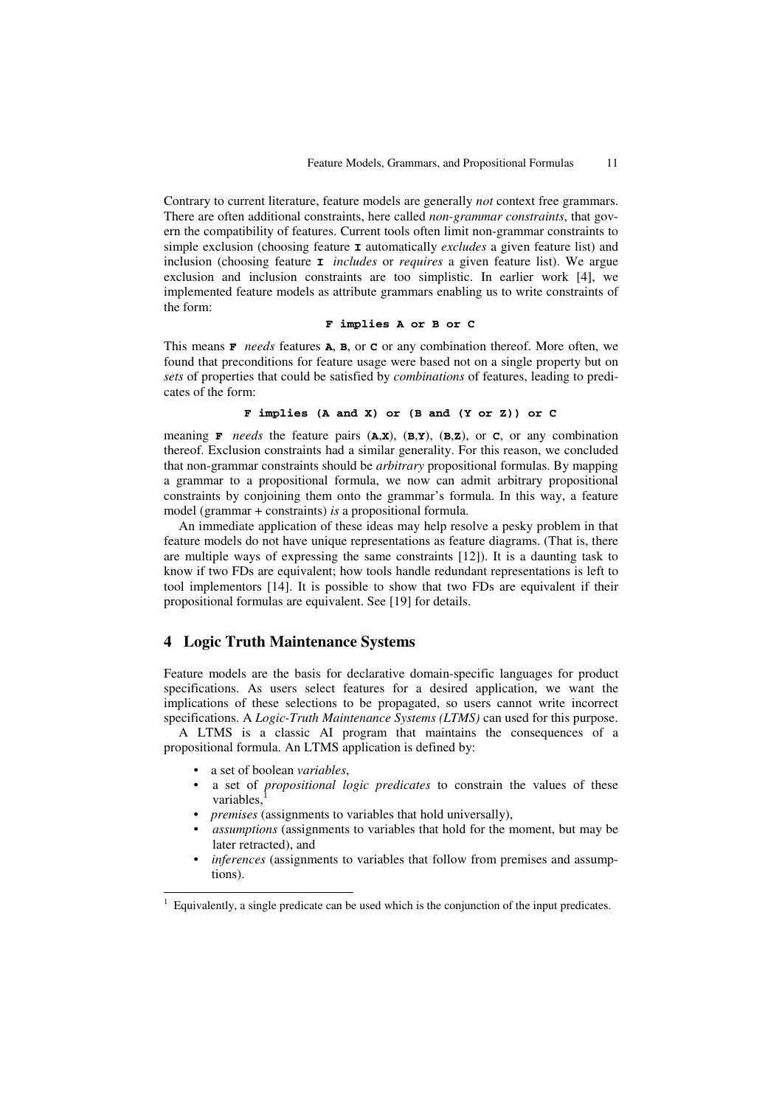Contrary to current literature, feature models are generally *not* context free grammars. There are often additional constraints, here called *non-grammar constraints*, that govern the compatibility of features. Current tools often limit non-grammar constraints to simple exclusion (choosing feature **I** automatically *excludes* a given feature list) and inclusion (choosing feature **I** *includes* or *requires* a given feature list). We argue exclusion and inclusion constraints are too simplistic. In earlier work [4], we implemented feature models as attribute grammars enabling us to write constraints of the form:

## **F implies A or B or C**

This means **F** *needs* features **A**, **B**, or **C** or any combination thereof. More often, we found that preconditions for feature usage were based not on a single property but on *sets* of properties that could be satisfied by *combinations* of features, leading to predicates of the form:

#### **F implies (A and X) or (B and (Y or Z)) or C**

meaning **F** *needs* the feature pairs (**A**,**X**), (**B**,**Y**), (**B**,**Z**), or **C**, or any combination thereof. Exclusion constraints had a similar generality. For this reason, we concluded that non-grammar constraints should be *arbitrary* propositional formulas. By mapping a grammar to a propositional formula, we now can admit arbitrary propositional constraints by conjoining them onto the grammar's formula. In this way, a feature model (grammar + constraints) *is* a propositional formula.

An immediate application of these ideas may help resolve a pesky problem in that feature models do not have unique representations as feature diagrams. (That is, there are multiple ways of expressing the same constraints [12]). It is a daunting task to know if two FDs are equivalent; how tools handle redundant representations is left to tool implementors [14]. It is possible to show that two FDs are equivalent if their propositional formulas are equivalent. See [19] for details.

## **4 Logic Truth Maintenance Systems**

Feature models are the basis for declarative domain-specific languages for product specifications. As users select features for a desired application, we want the implications of these selections to be propagated, so users cannot write incorrect specifications. A *Logic-Truth Maintenance Systems (LTMS)* can used for this purpose.

A LTMS is a classic AI program that maintains the consequences of a propositional formula. An LTMS application is defined by:

• a set of boolean *variables*,

j

- a set of *propositional logic predicates* to constrain the values of these variables.
- *premises* (assignments to variables that hold universally),
- *assumptions* (assignments to variables that hold for the moment, but may be later retracted), and
- *inferences* (assignments to variables that follow from premises and assumptions).

<sup>1</sup> Equivalently, a single predicate can be used which is the conjunction of the input predicates.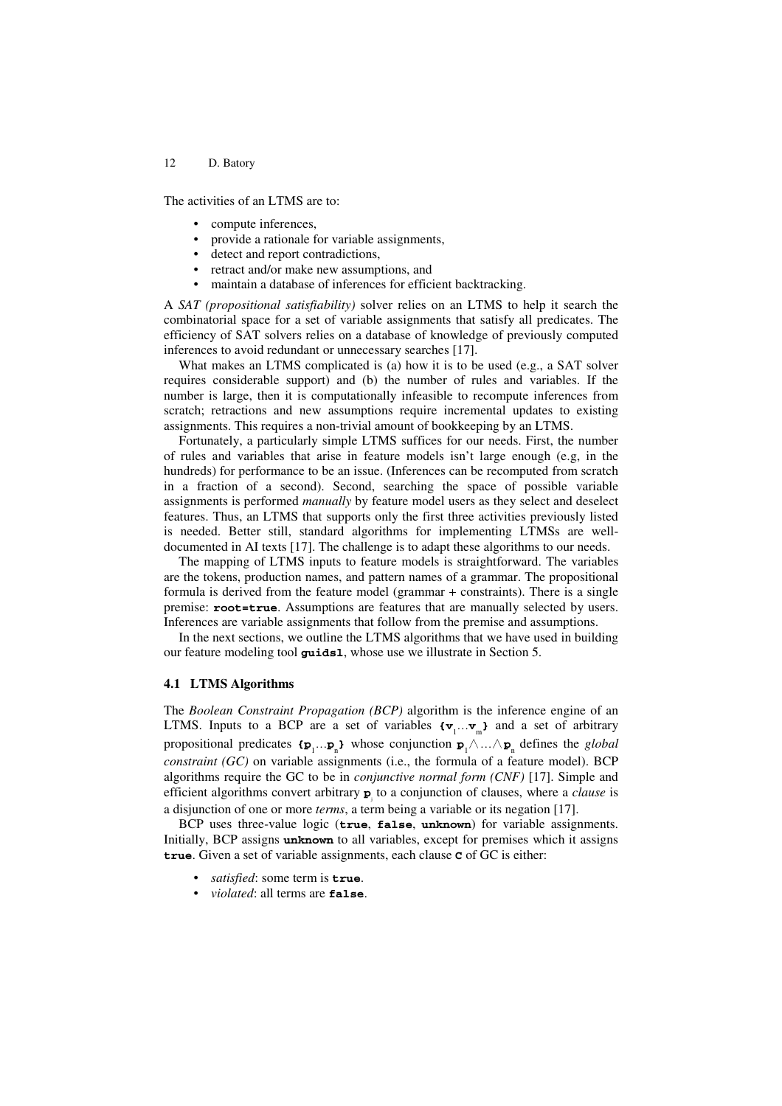The activities of an LTMS are to:

- compute inferences,
- provide a rationale for variable assignments,
- detect and report contradictions,
- retract and/or make new assumptions, and
- maintain a database of inferences for efficient backtracking.

A *SAT (propositional satisfiability)* solver relies on an LTMS to help it search the combinatorial space for a set of variable assignments that satisfy all predicates. The efficiency of SAT solvers relies on a database of knowledge of previously computed inferences to avoid redundant or unnecessary searches [17].

What makes an LTMS complicated is (a) how it is to be used (e.g., a SAT solver requires considerable support) and (b) the number of rules and variables. If the number is large, then it is computationally infeasible to recompute inferences from scratch; retractions and new assumptions require incremental updates to existing assignments. This requires a non-trivial amount of bookkeeping by an LTMS.

Fortunately, a particularly simple LTMS suffices for our needs. First, the number of rules and variables that arise in feature models isn't large enough (e.g, in the hundreds) for performance to be an issue. (Inferences can be recomputed from scratch in a fraction of a second). Second, searching the space of possible variable assignments is performed *manually* by feature model users as they select and deselect features. Thus, an LTMS that supports only the first three activities previously listed is needed. Better still, standard algorithms for implementing LTMSs are welldocumented in AI texts [17]. The challenge is to adapt these algorithms to our needs.

The mapping of LTMS inputs to feature models is straightforward. The variables are the tokens, production names, and pattern names of a grammar. The propositional formula is derived from the feature model (grammar + constraints). There is a single premise: **root=true**. Assumptions are features that are manually selected by users. Inferences are variable assignments that follow from the premise and assumptions.

In the next sections, we outline the LTMS algorithms that we have used in building our feature modeling tool **guidsl**, whose use we illustrate in Section 5.

#### **4.1 LTMS Algorithms**

The *Boolean Constraint Propagation (BCP)* algorithm is the inference engine of an LTMS. Inputs to a BCP are a set of variables  $\{v_1 \dots v_m\}$  and a set of arbitrary propositional predicates  $\{ \mathbf{p}_1 \cdot \cdot \cdot \mathbf{p}_n \}$  whose conjunction  $\mathbf{p}_1 \wedge \cdot \cdot \cdot \wedge \mathbf{p}_n$  defines the *global*  $\{ \mathbf{p}_1 \cdot \cdot \cdot \cdot \}$ *constraint (GC)* on variable assignments (i.e., the formula of a feature model). BCP algorithms require the GC to be in *conjunctive normal form (CNF)* [17]. Simple and efficient algorithms convert arbitrary **p**<sup>j</sup> to a conjunction of clauses, where a *clause* is a disjunction of one or more *terms*, a term being a variable or its negation [17].

BCP uses three-value logic (**true**, **false**, **unknown**) for variable assignments. Initially, BCP assigns **unknown** to all variables, except for premises which it assigns **true**. Given a set of variable assignments, each clause **C** of GC is either:

- *satisfied*: some term is **true**.
- *violated*: all terms are **false**.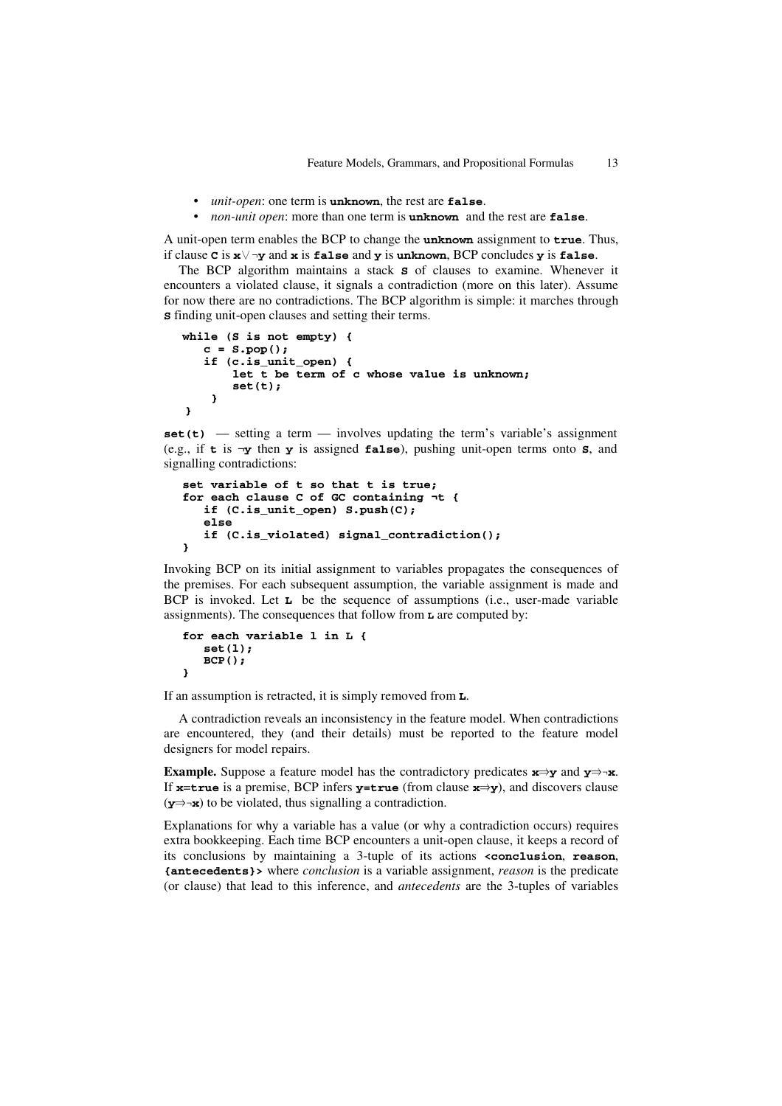- *unit-open*: one term is **unknown**, the rest are **false**.
- *non-unit open*: more than one term is **unknown** and the rest are **false**.

A unit-open term enables the BCP to change the **unknown** assignment to **true**. Thus, if clause **C** is **x**∨¬**y** and **x** is **false** and **y** is **unknown**, BCP concludes **y** is **false**.

The BCP algorithm maintains a stack **S** of clauses to examine. Whenever it encounters a violated clause, it signals a contradiction (more on this later). Assume for now there are no contradictions. The BCP algorithm is simple: it marches through **S** finding unit-open clauses and setting their terms.

```
while (S is not empty) { 
   c = S.pop(); 
   if (c.is_unit_open) { 
         let t be term of c whose value is unknown; 
         set(t); 
    } 
 }
```
 $\text{set}(t)$  — setting a term — involves updating the term's variable's assignment (e.g., if **t** is ¬**y** then **y** is assigned **false**), pushing unit-open terms onto **S**, and signalling contradictions:

```
set variable of t so that t is true; 
for each clause C of GC containing ¬t { 
   if (C.is_unit_open) S.push(C); 
   else 
   if (C.is_violated) signal_contradiction(); 
}
```
Invoking BCP on its initial assignment to variables propagates the consequences of the premises. For each subsequent assumption, the variable assignment is made and BCP is invoked. Let **L** be the sequence of assumptions (i.e., user-made variable assignments). The consequences that follow from **L** are computed by:

```
for each variable l in L { 
   set(l); 
   BCP(); 
}
```
If an assumption is retracted, it is simply removed from **L**.

A contradiction reveals an inconsistency in the feature model. When contradictions are encountered, they (and their details) must be reported to the feature model designers for model repairs.

**Example.** Suppose a feature model has the contradictory predicates  $\mathbf{x} \Rightarrow \mathbf{y}$  and  $\mathbf{y} \Rightarrow \neg \mathbf{x}$ . If **x**=**true** is a premise, BCP infers **y=true** (from clause **x**⇒**y**), and discovers clause (**y**⇒¬**x**) to be violated, thus signalling a contradiction.

Explanations for why a variable has a value (or why a contradiction occurs) requires extra bookkeeping. Each time BCP encounters a unit-open clause, it keeps a record of its conclusions by maintaining a 3-tuple of its actions **<conclusion**, **reason**, **{antecedents}>** where *conclusion* is a variable assignment, *reason* is the predicate (or clause) that lead to this inference, and *antecedents* are the 3-tuples of variables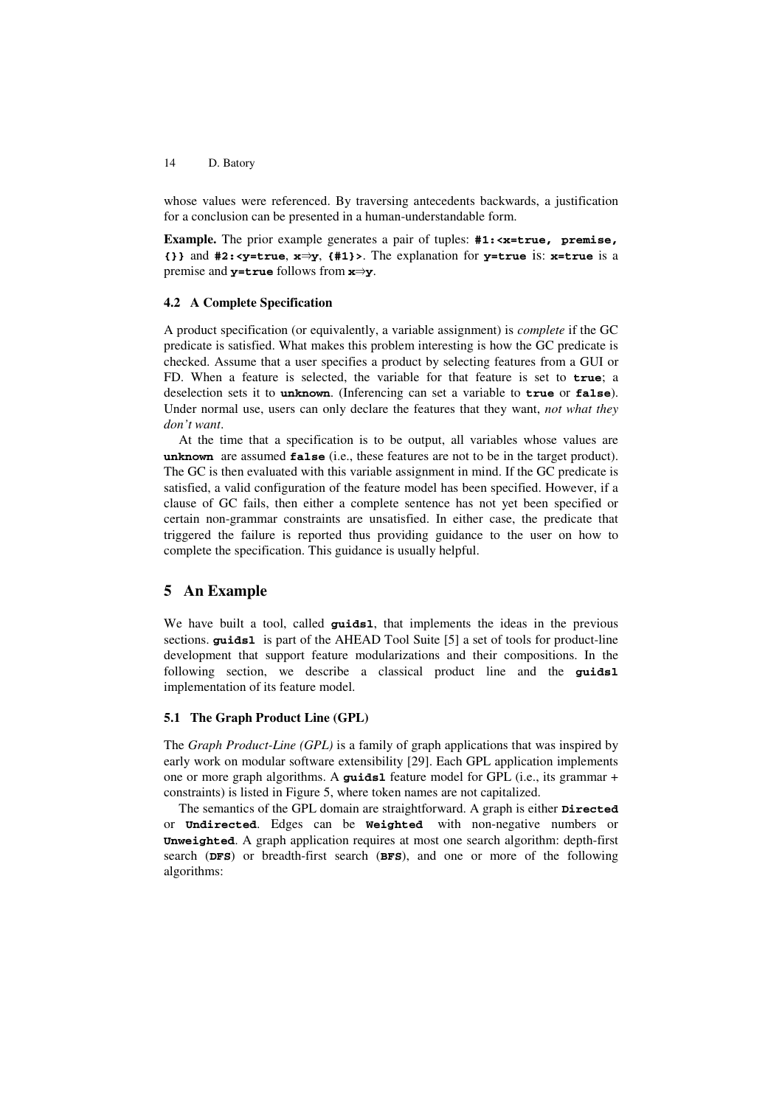whose values were referenced. By traversing antecedents backwards, a justification for a conclusion can be presented in a human-understandable form.

**Example.** The prior example generates a pair of tuples: **#1:<x=true, premise, {}}** and **#2:<y=true**, **x**⇒**y**, **{#1}>**. The explanation for **y=true** is: **x=true** is a premise and **y=true** follows from **x**⇒**y**.

### **4.2 A Complete Specification**

A product specification (or equivalently, a variable assignment) is *complete* if the GC predicate is satisfied. What makes this problem interesting is how the GC predicate is checked. Assume that a user specifies a product by selecting features from a GUI or FD. When a feature is selected, the variable for that feature is set to **true**; a deselection sets it to **unknown**. (Inferencing can set a variable to **true** or **false**). Under normal use, users can only declare the features that they want, *not what they don't want*.

At the time that a specification is to be output, all variables whose values are **unknown** are assumed **false** (i.e., these features are not to be in the target product). The GC is then evaluated with this variable assignment in mind. If the GC predicate is satisfied, a valid configuration of the feature model has been specified. However, if a clause of GC fails, then either a complete sentence has not yet been specified or certain non-grammar constraints are unsatisfied. In either case, the predicate that triggered the failure is reported thus providing guidance to the user on how to complete the specification. This guidance is usually helpful.

## **5 An Example**

We have built a tool, called **guids1**, that implements the ideas in the previous sections. **guidsl** is part of the AHEAD Tool Suite [5] a set of tools for product-line development that support feature modularizations and their compositions. In the following section, we describe a classical product line and the **guidsl** implementation of its feature model.

### **5.1 The Graph Product Line (GPL)**

The *Graph Product-Line (GPL)* is a family of graph applications that was inspired by early work on modular software extensibility [29]. Each GPL application implements one or more graph algorithms. A **guidsl** feature model for GPL (i.e., its grammar + constraints) is listed in Figure 5, where token names are not capitalized.

The semantics of the GPL domain are straightforward. A graph is either **Directed** or **Undirected**. Edges can be **Weighted** with non-negative numbers or **Unweighted**. A graph application requires at most one search algorithm: depth-first search (**DFS**) or breadth-first search (**BFS**), and one or more of the following algorithms: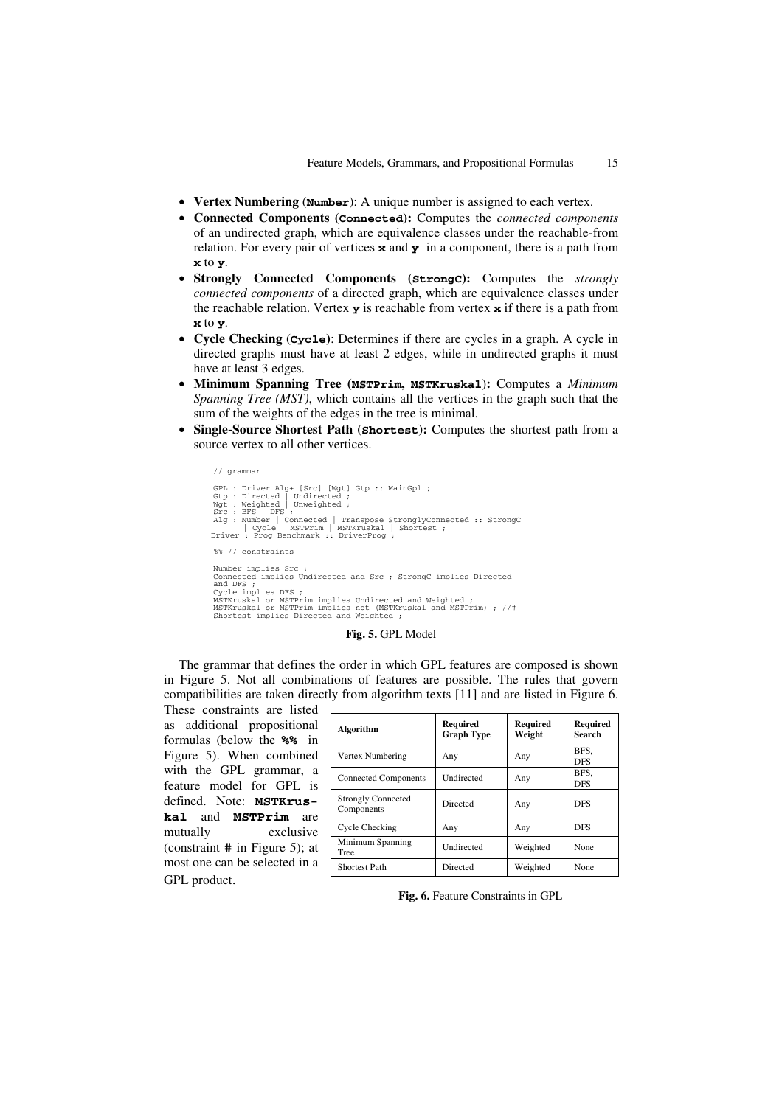- **Vertex Numbering** (**Number**): A unique number is assigned to each vertex.
- **Connected Components (Connected):** Computes the *connected components* of an undirected graph, which are equivalence classes under the reachable-from relation. For every pair of vertices **x** and **y** in a component, there is a path from **x** to **y**.
- **Strongly Connected Components (StrongC):** Computes the *strongly connected components* of a directed graph, which are equivalence classes under the reachable relation. Vertex **y** is reachable from vertex **x** if there is a path from **x** to **y**.
- **Cycle Checking (Cycle)**: Determines if there are cycles in a graph. A cycle in directed graphs must have at least 2 edges, while in undirected graphs it must have at least 3 edges.
- **Minimum Spanning Tree (MSTPrim, MSTKruskal**)**:** Computes a *Minimum Spanning Tree (MST)*, which contains all the vertices in the graph such that the sum of the weights of the edges in the tree is minimal.
- **Single-Source Shortest Path (Shortest):** Computes the shortest path from a source vertex to all other vertices.

```
// grammar 
GDL: Driver Alg+ [Src] [Wgt] Gtp :: MainGpl ;<br>
Gtp : Directed | Undirected ;<br>
Wgt : Weighted | Unweighted ;<br>
Mgt : Weighted | Unweighted ;<br>
Alg : Number | Connected | Transpose StronglyConnected :: StrongC<br>
| Cycle | MSTPr
%% // constraints 
 Number implies Src ; 
Connected implies Undirected and Src ; StrongC implies Directed 
and DFS ; 
 Cycle implies DFS ; 
MSTKruskal or MSTPrim implies Undirected and Weighted ; 
MSTKruskal or MSTPrim implies not (MSTKruskal and MSTPrim) ; //# 
Shortest implies Directed and Weighted ;
```
#### **Fig. 5.** GPL Model

The grammar that defines the order in which GPL features are composed is shown in Figure 5. Not all combinations of features are possible. The rules that govern compatibilities are taken directly from algorithm texts [11] and are listed in Figure 6.

These constraints are listed as additional propositional formulas (below the **%%** in Figure 5). When combined with the GPL grammar, a feature model for GPL is defined. Note: **MSTKruskal** and **MSTPrim** are mutually exclusive (constraint **#** in Figure 5); at most one can be selected in a GPL product.

| Algorithm                               | <b>Required</b><br><b>Graph Type</b> | <b>Required</b><br>Weight | Required<br>Search |
|-----------------------------------------|--------------------------------------|---------------------------|--------------------|
| Vertex Numbering                        | Any                                  | Any                       | BFS.<br><b>DFS</b> |
| <b>Connected Components</b>             | Undirected                           | Any                       | BFS.<br><b>DFS</b> |
| <b>Strongly Connected</b><br>Components | Directed                             | Any                       | <b>DFS</b>         |
| Cycle Checking                          | Any                                  | Any                       | <b>DFS</b>         |
| Minimum Spanning<br>Tree                | Undirected                           | Weighted                  | None               |
| Shortest Path                           | Directed                             | Weighted                  | None               |

**Fig. 6.** Feature Constraints in GPL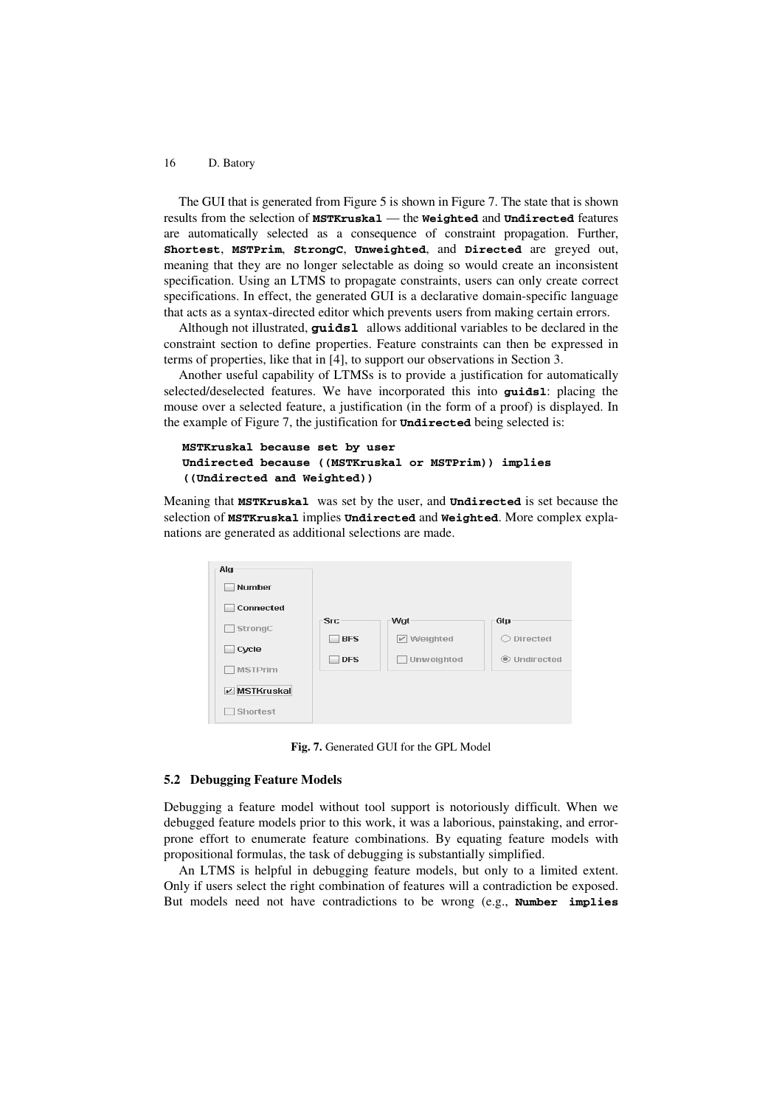The GUI that is generated from Figure 5 is shown in Figure 7. The state that is shown results from the selection of **MSTKruskal** — the **Weighted** and **Undirected** features are automatically selected as a consequence of constraint propagation. Further, **Shortest**, **MSTPrim**, **StrongC**, **Unweighted**, and **Directed** are greyed out, meaning that they are no longer selectable as doing so would create an inconsistent specification. Using an LTMS to propagate constraints, users can only create correct specifications. In effect, the generated GUI is a declarative domain-specific language that acts as a syntax-directed editor which prevents users from making certain errors.

Although not illustrated, **guidsl** allows additional variables to be declared in the constraint section to define properties. Feature constraints can then be expressed in terms of properties, like that in [4], to support our observations in Section 3.

Another useful capability of LTMSs is to provide a justification for automatically selected/deselected features. We have incorporated this into **guidsl**: placing the mouse over a selected feature, a justification (in the form of a proof) is displayed. In the example of Figure 7, the justification for **Undirected** being selected is:

```
MSTKruskal because set by user 
Undirected because ((MSTKruskal or MSTPrim)) implies 
((Undirected and Weighted))
```
Meaning that **MSTKruskal** was set by the user, and **Undirected** is set because the selection of **MSTKruskal** implies **Undirected** and **Weighted**. More complex explanations are generated as additional selections are made.

| Alg              |            |                  |                                                                  |
|------------------|------------|------------------|------------------------------------------------------------------|
| <b>Number</b>    |            |                  |                                                                  |
| <b>Connected</b> |            |                  |                                                                  |
| <b>StrongC</b>   | <b>Src</b> | Wat              | Gtp                                                              |
|                  | <b>BFS</b> | $V$ Weighted     | <b>Directed</b><br>$\left( \begin{array}{c} \end{array} \right)$ |
| Cycle            | <b>DFS</b> | Unweighted<br>L. | <b>O</b> Undirected                                              |
| <b>MSTPrim</b>   |            |                  |                                                                  |
| $\nu$ MSTKruskal |            |                  |                                                                  |
| Shortest         |            |                  |                                                                  |

**Fig. 7.** Generated GUI for the GPL Model

#### **5.2 Debugging Feature Models**

Debugging a feature model without tool support is notoriously difficult. When we debugged feature models prior to this work, it was a laborious, painstaking, and errorprone effort to enumerate feature combinations. By equating feature models with propositional formulas, the task of debugging is substantially simplified.

An LTMS is helpful in debugging feature models, but only to a limited extent. Only if users select the right combination of features will a contradiction be exposed. But models need not have contradictions to be wrong (e.g., **Number implies**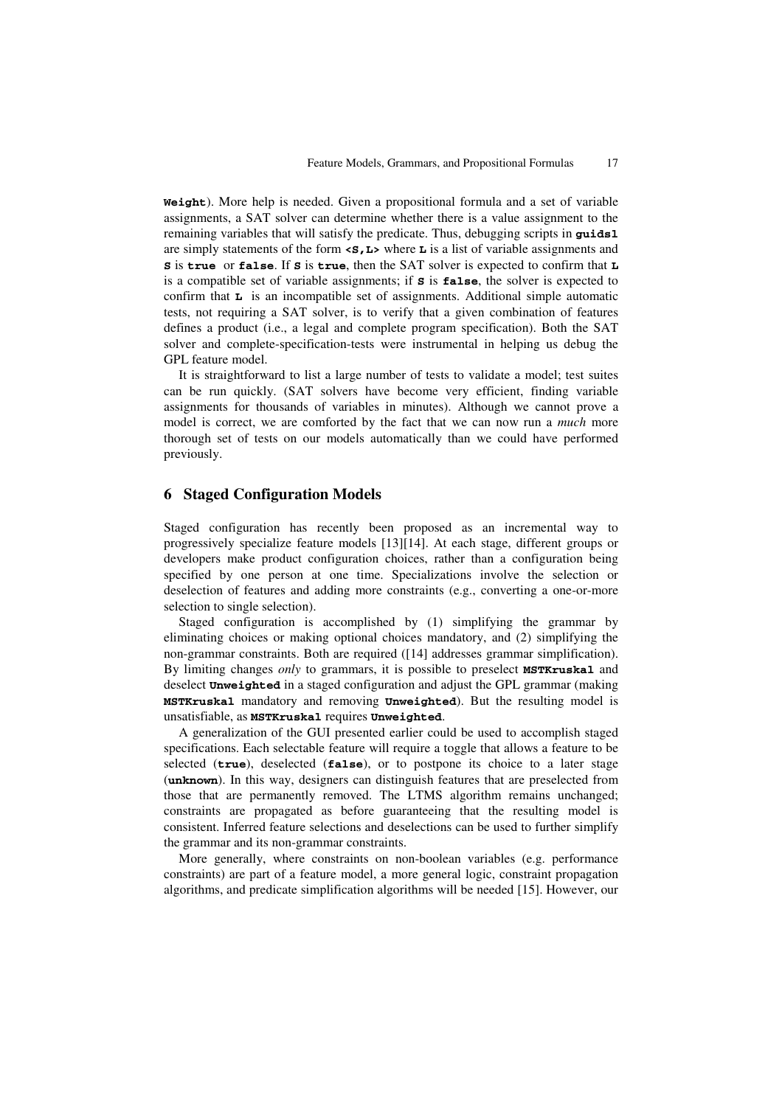**Weight**). More help is needed. Given a propositional formula and a set of variable assignments, a SAT solver can determine whether there is a value assignment to the remaining variables that will satisfy the predicate. Thus, debugging scripts in **guidsl** are simply statements of the form **<S,L>** where **L** is a list of variable assignments and **S** is **true** or **false**. If **S** is **true**, then the SAT solver is expected to confirm that **L** is a compatible set of variable assignments; if **S** is **false**, the solver is expected to confirm that **L** is an incompatible set of assignments. Additional simple automatic tests, not requiring a SAT solver, is to verify that a given combination of features defines a product (i.e., a legal and complete program specification). Both the SAT solver and complete-specification-tests were instrumental in helping us debug the GPL feature model.

It is straightforward to list a large number of tests to validate a model; test suites can be run quickly. (SAT solvers have become very efficient, finding variable assignments for thousands of variables in minutes). Although we cannot prove a model is correct, we are comforted by the fact that we can now run a *much* more thorough set of tests on our models automatically than we could have performed previously.

# **6 Staged Configuration Models**

Staged configuration has recently been proposed as an incremental way to progressively specialize feature models [13][14]. At each stage, different groups or developers make product configuration choices, rather than a configuration being specified by one person at one time. Specializations involve the selection or deselection of features and adding more constraints (e.g., converting a one-or-more selection to single selection).

Staged configuration is accomplished by (1) simplifying the grammar by eliminating choices or making optional choices mandatory, and (2) simplifying the non-grammar constraints. Both are required ([14] addresses grammar simplification). By limiting changes *only* to grammars, it is possible to preselect **MSTKruskal** and deselect **Unweighted** in a staged configuration and adjust the GPL grammar (making **MSTKruskal** mandatory and removing **Unweighted**). But the resulting model is unsatisfiable, as **MSTKruskal** requires **Unweighted**.

A generalization of the GUI presented earlier could be used to accomplish staged specifications. Each selectable feature will require a toggle that allows a feature to be selected (**true**), deselected (**false**), or to postpone its choice to a later stage (**unknown**). In this way, designers can distinguish features that are preselected from those that are permanently removed. The LTMS algorithm remains unchanged; constraints are propagated as before guaranteeing that the resulting model is consistent. Inferred feature selections and deselections can be used to further simplify the grammar and its non-grammar constraints.

More generally, where constraints on non-boolean variables (e.g. performance constraints) are part of a feature model, a more general logic, constraint propagation algorithms, and predicate simplification algorithms will be needed [15]. However, our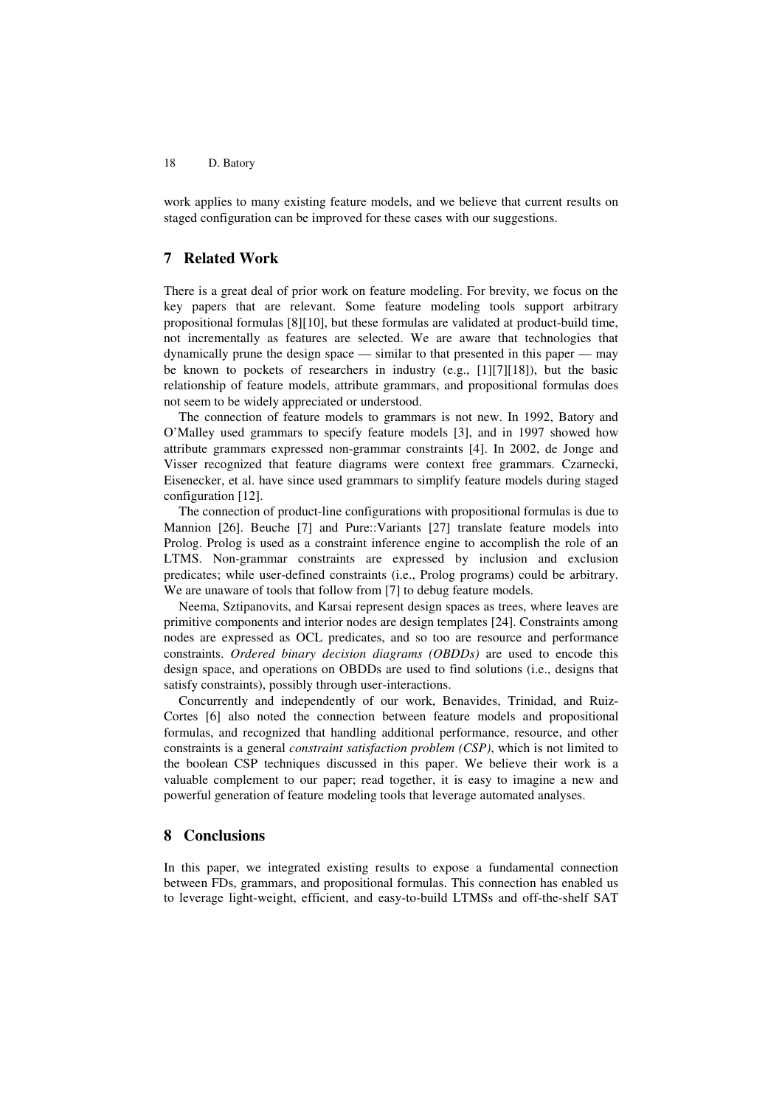work applies to many existing feature models, and we believe that current results on staged configuration can be improved for these cases with our suggestions.

# **7 Related Work**

There is a great deal of prior work on feature modeling. For brevity, we focus on the key papers that are relevant. Some feature modeling tools support arbitrary propositional formulas [8][10], but these formulas are validated at product-build time, not incrementally as features are selected. We are aware that technologies that dynamically prune the design space — similar to that presented in this paper — may be known to pockets of researchers in industry  $(e.g., [1][7][18])$ , but the basic relationship of feature models, attribute grammars, and propositional formulas does not seem to be widely appreciated or understood.

The connection of feature models to grammars is not new. In 1992, Batory and O'Malley used grammars to specify feature models [3], and in 1997 showed how attribute grammars expressed non-grammar constraints [4]. In 2002, de Jonge and Visser recognized that feature diagrams were context free grammars. Czarnecki, Eisenecker, et al. have since used grammars to simplify feature models during staged configuration [12].

The connection of product-line configurations with propositional formulas is due to Mannion [26]. Beuche [7] and Pure::Variants [27] translate feature models into Prolog. Prolog is used as a constraint inference engine to accomplish the role of an LTMS. Non-grammar constraints are expressed by inclusion and exclusion predicates; while user-defined constraints (i.e., Prolog programs) could be arbitrary. We are unaware of tools that follow from [7] to debug feature models.

Neema, Sztipanovits, and Karsai represent design spaces as trees, where leaves are primitive components and interior nodes are design templates [24]. Constraints among nodes are expressed as OCL predicates, and so too are resource and performance constraints. *Ordered binary decision diagrams (OBDDs)* are used to encode this design space, and operations on OBDDs are used to find solutions (i.e., designs that satisfy constraints), possibly through user-interactions.

Concurrently and independently of our work, Benavides, Trinidad, and Ruiz-Cortes [6] also noted the connection between feature models and propositional formulas, and recognized that handling additional performance, resource, and other constraints is a general *constraint satisfaction problem (CSP)*, which is not limited to the boolean CSP techniques discussed in this paper. We believe their work is a valuable complement to our paper; read together, it is easy to imagine a new and powerful generation of feature modeling tools that leverage automated analyses.

### **8 Conclusions**

In this paper, we integrated existing results to expose a fundamental connection between FDs, grammars, and propositional formulas. This connection has enabled us to leverage light-weight, efficient, and easy-to-build LTMSs and off-the-shelf SAT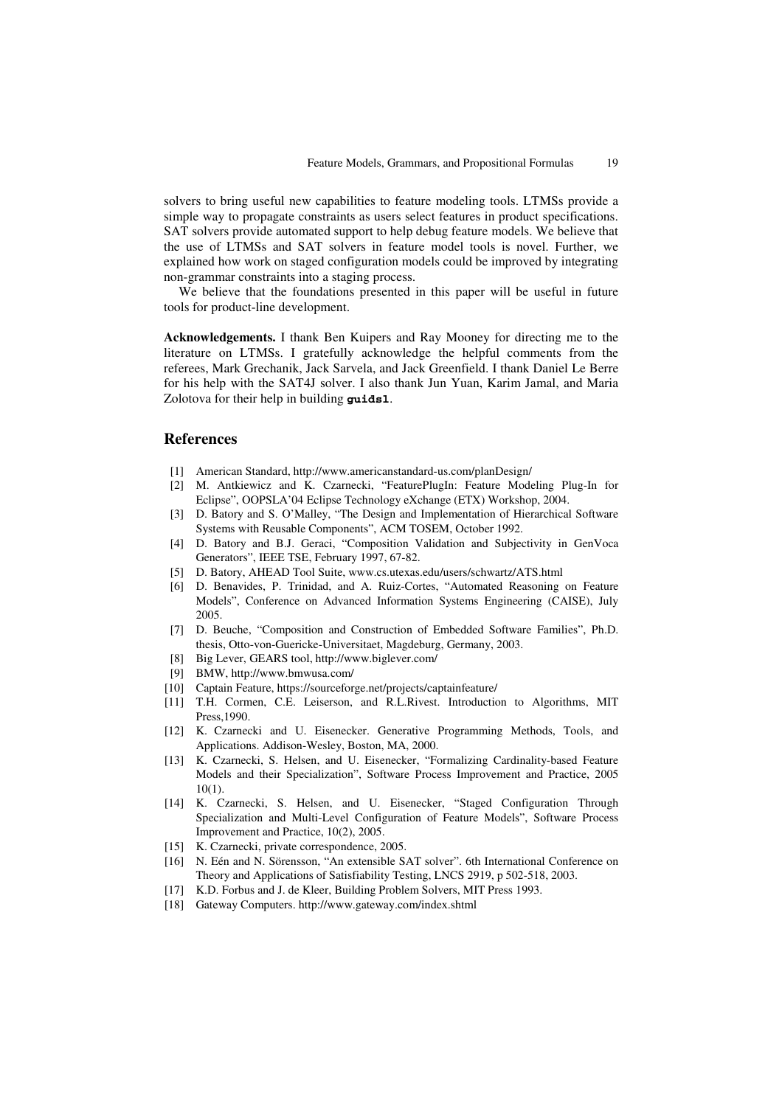solvers to bring useful new capabilities to feature modeling tools. LTMSs provide a simple way to propagate constraints as users select features in product specifications. SAT solvers provide automated support to help debug feature models. We believe that the use of LTMSs and SAT solvers in feature model tools is novel. Further, we explained how work on staged configuration models could be improved by integrating non-grammar constraints into a staging process.

We believe that the foundations presented in this paper will be useful in future tools for product-line development.

**Acknowledgements.** I thank Ben Kuipers and Ray Mooney for directing me to the literature on LTMSs. I gratefully acknowledge the helpful comments from the referees, Mark Grechanik, Jack Sarvela, and Jack Greenfield. I thank Daniel Le Berre for his help with the SAT4J solver. I also thank Jun Yuan, Karim Jamal, and Maria Zolotova for their help in building **guidsl**.

# **References**

- [1] American Standard, http://www.americanstandard-us.com/planDesign/
- [2] M. Antkiewicz and K. Czarnecki, "FeaturePlugIn: Feature Modeling Plug-In for Eclipse", OOPSLA'04 Eclipse Technology eXchange (ETX) Workshop, 2004.
- [3] D. Batory and S. O'Malley, "The Design and Implementation of Hierarchical Software Systems with Reusable Components", ACM TOSEM, October 1992.
- [4] D. Batory and B.J. Geraci, "Composition Validation and Subjectivity in GenVoca Generators", IEEE TSE, February 1997, 67-82.
- [5] D. Batory, AHEAD Tool Suite, www.cs.utexas.edu/users/schwartz/ATS.html
- [6] D. Benavides, P. Trinidad, and A. Ruiz-Cortes, "Automated Reasoning on Feature Models", Conference on Advanced Information Systems Engineering (CAISE), July 2005.
- [7] D. Beuche, "Composition and Construction of Embedded Software Families", Ph.D. thesis, Otto-von-Guericke-Universitaet, Magdeburg, Germany, 2003.
- [8] Big Lever, GEARS tool, http://www.biglever.com/
- [9] BMW, http://www.bmwusa.com/
- [10] Captain Feature, https://sourceforge.net/projects/captainfeature/
- [11] T.H. Cormen, C.E. Leiserson, and R.L.Rivest. Introduction to Algorithms, MIT Press,1990.
- [12] K. Czarnecki and U. Eisenecker. Generative Programming Methods, Tools, and Applications. Addison-Wesley, Boston, MA, 2000.
- [13] K. Czarnecki, S. Helsen, and U. Eisenecker, "Formalizing Cardinality-based Feature Models and their Specialization", Software Process Improvement and Practice, 2005 10(1).
- [14] K. Czarnecki, S. Helsen, and U. Eisenecker, "Staged Configuration Through Specialization and Multi-Level Configuration of Feature Models", Software Process Improvement and Practice, 10(2), 2005.
- [15] K. Czarnecki, private correspondence, 2005.
- [16] N. Eén and N. Sörensson, "An extensible SAT solver". 6th International Conference on Theory and Applications of Satisfiability Testing, LNCS 2919, p 502-518, 2003.
- [17] K.D. Forbus and J. de Kleer, Building Problem Solvers, MIT Press 1993.
- [18] Gateway Computers. http://www.gateway.com/index.shtml